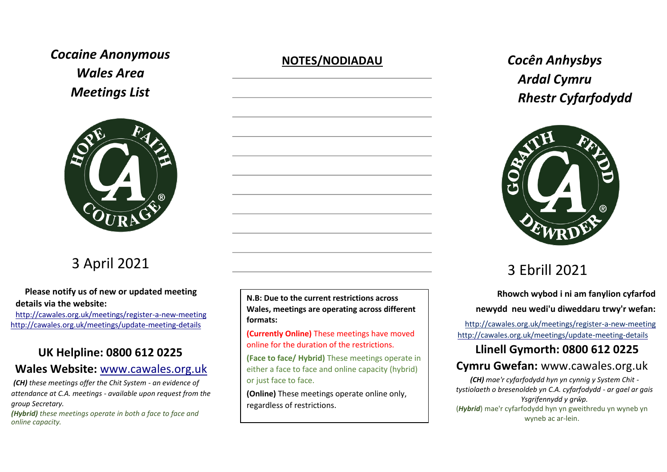# *Cocaine Anonymous Wales Area Meetings List*



# 3 April 2021

#### **Please notify us of new or updated meeting details via the website:**

<http://cawales.org.uk/meetings/register-a-new-meeting> <http://cawales.org.uk/meetings/update-meeting-details>

# **UK Helpline: 0800 612 0225**

## **Wales Website:** [www.cawales.org.uk](http://www.cawales.org.uk/)

*(CH) these meetings offer the Chit System - an evidence of attendance at C.A. meetings - available upon request from the group Secretary.* 

*(Hybrid) these meetings operate in both a face to face and online capacity.*

## **NOTES/NODIADAU** *Cocên Anhysbys*



**N.B: Due to the current restrictions across Wales, meetings are operating across different formats:** 

**(Currently Online)** These meetings have moved online for the duration of the restrictions.

**(Face to face/ Hybrid)** These meetings operate in either a face to face and online capacity (hybrid) or just face to face.

**(Online)** These meetings operate online only, regardless of restrictions.

# *Ardal Cymru Rhestr Cyfarfodydd*



# 3 Ebrill 2021

 **Rhowch wybod i ni am fanylion cyfarfod newydd neu wedi'u diweddaru trwy'r wefan:** 

<http://cawales.org.uk/meetings/register>[-a-new-meeting](http://cawales.org.uk/meetings/register-a-new-meeting) <http://cawales.org.uk/meetings/update-meeting-details>

# **Llinell Gymorth: 0800 612 0225**

## **Cymru Gwefan:** [www.cawales.org.uk](http://www.cawales.org.uk/)

*(CH) mae'r cyfarfodydd hyn yn cynnig y System Chit tystiolaeth o bresenoldeb yn C.A. cyfarfodydd - ar gael ar gais Ysgrifennydd y grŵp.*  (*Hybrid*) mae'r cyfarfodydd hyn yn gweithredu yn wyneb yn

wyneb ac ar-lein.